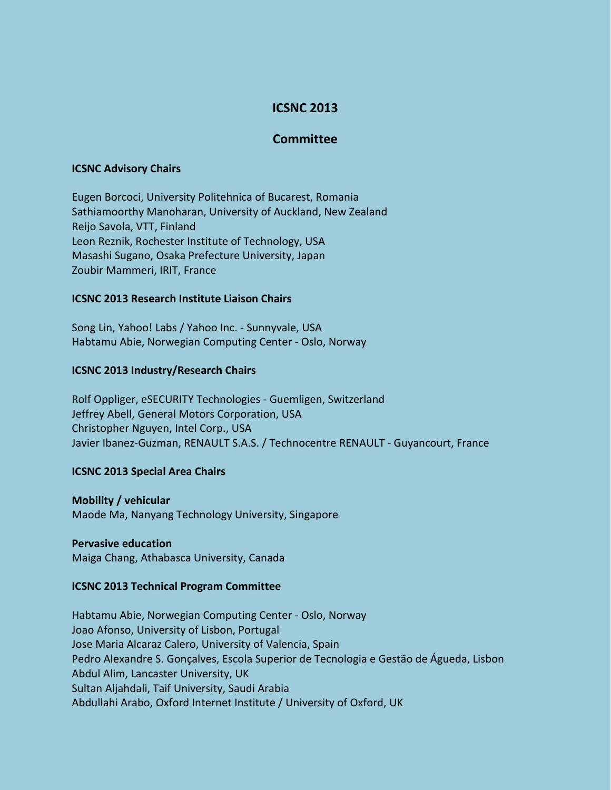# **ICSNC 2013**

# **Committee**

#### **ICSNC Advisory Chairs**

Eugen Borcoci, University Politehnica of Bucarest, Romania Sathiamoorthy Manoharan, University of Auckland, New Zealand Reijo Savola, VTT, Finland Leon Reznik, Rochester Institute of Technology, USA Masashi Sugano, Osaka Prefecture University, Japan Zoubir Mammeri, IRIT, France

# **ICSNC 2013 Research Institute Liaison Chairs**

Song Lin, Yahoo! Labs / Yahoo Inc. - Sunnyvale, USA Habtamu Abie, Norwegian Computing Center - Oslo, Norway

#### **ICSNC 2013 Industry/Research Chairs**

Rolf Oppliger, eSECURITY Technologies - Guemligen, Switzerland Jeffrey Abell, General Motors Corporation, USA Christopher Nguyen, Intel Corp., USA Javier Ibanez-Guzman, RENAULT S.A.S. / Technocentre RENAULT - Guyancourt, France

# **ICSNC 2013 Special Area Chairs**

**Mobility / vehicular** Maode Ma, Nanyang Technology University, Singapore

#### **Pervasive education**

Maiga Chang, Athabasca University, Canada

# **ICSNC 2013 Technical Program Committee**

Habtamu Abie, Norwegian Computing Center - Oslo, Norway Joao Afonso, University of Lisbon, Portugal Jose Maria Alcaraz Calero, University of Valencia, Spain Pedro Alexandre S. Gonçalves, Escola Superior de Tecnologia e Gestão de Águeda, Lisbon Abdul Alim, Lancaster University, UK Sultan Aljahdali, Taif University, Saudi Arabia Abdullahi Arabo, Oxford Internet Institute / University of Oxford, UK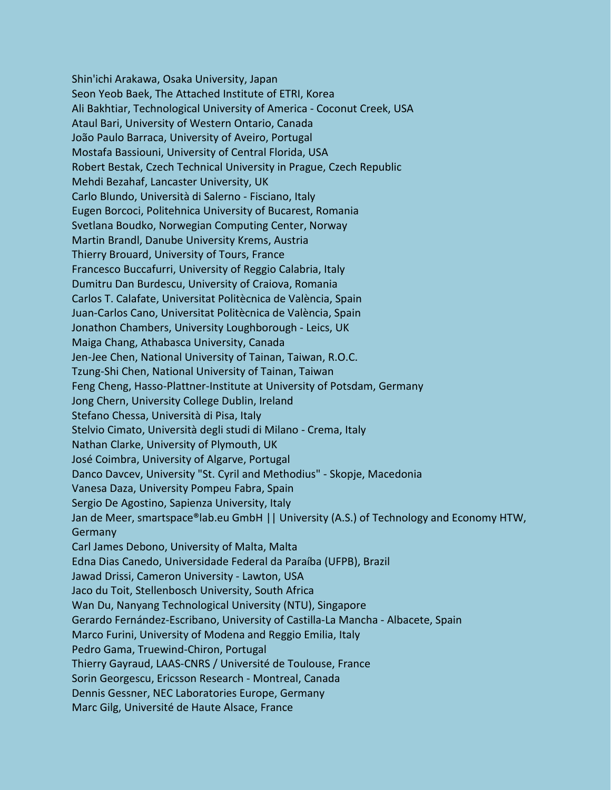Shin'ichi Arakawa, Osaka University, Japan Seon Yeob Baek, The Attached Institute of ETRI, Korea Ali Bakhtiar, Technological University of America - Coconut Creek, USA Ataul Bari, University of Western Ontario, Canada João Paulo Barraca, University of Aveiro, Portugal Mostafa Bassiouni, University of Central Florida, USA Robert Bestak, Czech Technical University in Prague, Czech Republic Mehdi Bezahaf, Lancaster University, UK Carlo Blundo, Università di Salerno - Fisciano, Italy Eugen Borcoci, Politehnica University of Bucarest, Romania Svetlana Boudko, Norwegian Computing Center, Norway Martin Brandl, Danube University Krems, Austria Thierry Brouard, University of Tours, France Francesco Buccafurri, University of Reggio Calabria, Italy Dumitru Dan Burdescu, University of Craiova, Romania Carlos T. Calafate, Universitat Politècnica de València, Spain Juan-Carlos Cano, Universitat Politècnica de València, Spain Jonathon Chambers, University Loughborough - Leics, UK Maiga Chang, Athabasca University, Canada Jen-Jee Chen, National University of Tainan, Taiwan, R.O.C. Tzung-Shi Chen, National University of Tainan, Taiwan Feng Cheng, Hasso-Plattner-Institute at University of Potsdam, Germany Jong Chern, University College Dublin, Ireland Stefano Chessa, Università di Pisa, Italy Stelvio Cimato, Università degli studi di Milano - Crema, Italy Nathan Clarke, University of Plymouth, UK José Coimbra, University of Algarve, Portugal Danco Davcev, University "St. Cyril and Methodius" - Skopje, Macedonia Vanesa Daza, University Pompeu Fabra, Spain Sergio De Agostino, Sapienza University, Italy Jan de Meer, smartspace®lab.eu GmbH || University (A.S.) of Technology and Economy HTW, **Germany** Carl James Debono, University of Malta, Malta Edna Dias Canedo, Universidade Federal da Paraíba (UFPB), Brazil Jawad Drissi, Cameron University - Lawton, USA Jaco du Toit, Stellenbosch University, South Africa Wan Du, Nanyang Technological University (NTU), Singapore Gerardo Fernández-Escribano, University of Castilla-La Mancha - Albacete, Spain Marco Furini, University of Modena and Reggio Emilia, Italy Pedro Gama, Truewind-Chiron, Portugal Thierry Gayraud, LAAS-CNRS / Université de Toulouse, France Sorin Georgescu, Ericsson Research - Montreal, Canada Dennis Gessner, NEC Laboratories Europe, Germany Marc Gilg, Université de Haute Alsace, France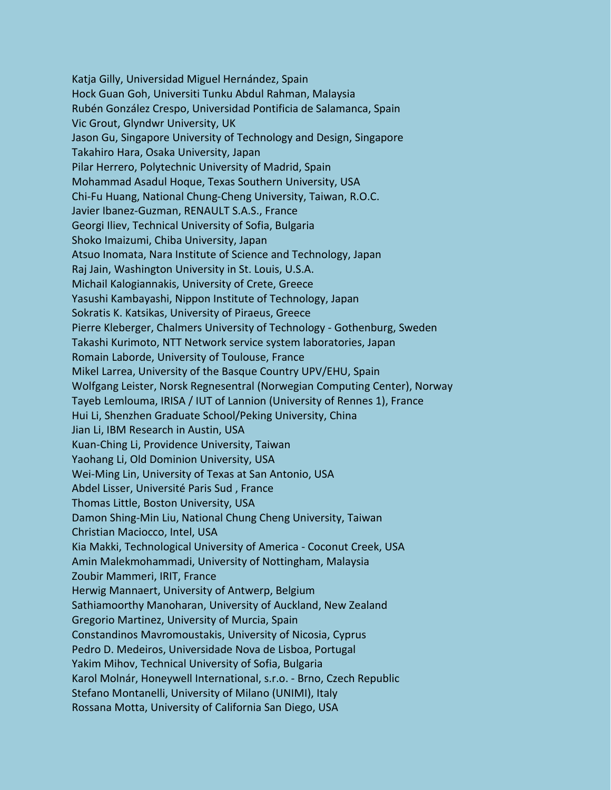Katja Gilly, Universidad Miguel Hernández, Spain Hock Guan Goh, Universiti Tunku Abdul Rahman, Malaysia Rubén González Crespo, Universidad Pontificia de Salamanca, Spain Vic Grout, Glyndwr University, UK Jason Gu, Singapore University of Technology and Design, Singapore Takahiro Hara, Osaka University, Japan Pilar Herrero, Polytechnic University of Madrid, Spain Mohammad Asadul Hoque, Texas Southern University, USA Chi-Fu Huang, National Chung-Cheng University, Taiwan, R.O.C. Javier Ibanez-Guzman, RENAULT S.A.S., France Georgi Iliev, Technical University of Sofia, Bulgaria Shoko Imaizumi, Chiba University, Japan Atsuo Inomata, Nara Institute of Science and Technology, Japan Raj Jain, Washington University in St. Louis, U.S.A. Michail Kalogiannakis, University of Crete, Greece Yasushi Kambayashi, Nippon Institute of Technology, Japan Sokratis K. Katsikas, University of Piraeus, Greece Pierre Kleberger, Chalmers University of Technology - Gothenburg, Sweden Takashi Kurimoto, NTT Network service system laboratories, Japan Romain Laborde, University of Toulouse, France Mikel Larrea, University of the Basque Country UPV/EHU, Spain Wolfgang Leister, Norsk Regnesentral (Norwegian Computing Center), Norway Tayeb Lemlouma, IRISA / IUT of Lannion (University of Rennes 1), France Hui Li, Shenzhen Graduate School/Peking University, China Jian Li, IBM Research in Austin, USA Kuan-Ching Li, Providence University, Taiwan Yaohang Li, Old Dominion University, USA Wei-Ming Lin, University of Texas at San Antonio, USA Abdel Lisser, Université Paris Sud , France Thomas Little, Boston University, USA Damon Shing-Min Liu, National Chung Cheng University, Taiwan Christian Maciocco, Intel, USA Kia Makki, Technological University of America - Coconut Creek, USA Amin Malekmohammadi, University of Nottingham, Malaysia Zoubir Mammeri, IRIT, France Herwig Mannaert, University of Antwerp, Belgium Sathiamoorthy Manoharan, University of Auckland, New Zealand Gregorio Martinez, University of Murcia, Spain Constandinos Mavromoustakis, University of Nicosia, Cyprus Pedro D. Medeiros, Universidade Nova de Lisboa, Portugal Yakim Mihov, Technical University of Sofia, Bulgaria Karol Molnár, Honeywell International, s.r.o. - Brno, Czech Republic Stefano Montanelli, University of Milano (UNIMI), Italy Rossana Motta, University of California San Diego, USA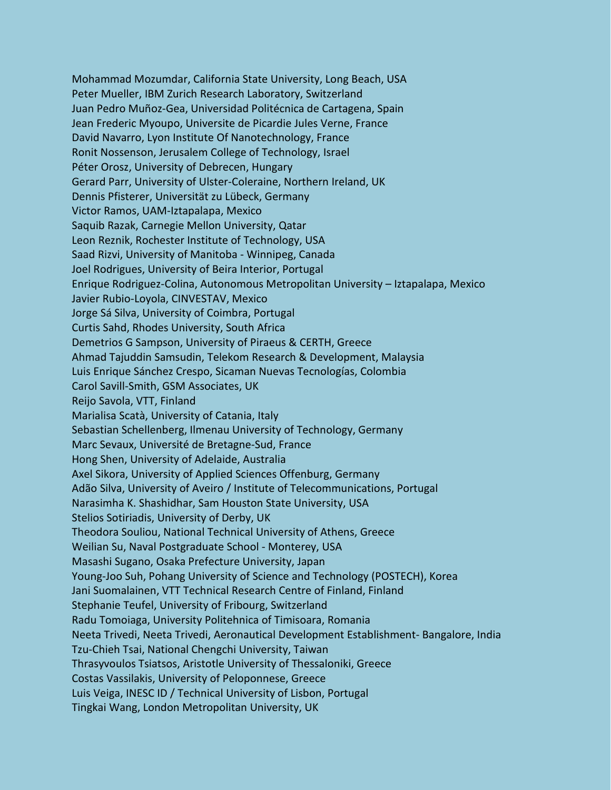Mohammad Mozumdar, California State University, Long Beach, USA Peter Mueller, IBM Zurich Research Laboratory, Switzerland Juan Pedro Muñoz-Gea, Universidad Politécnica de Cartagena, Spain Jean Frederic Myoupo, Universite de Picardie Jules Verne, France David Navarro, Lyon Institute Of Nanotechnology, France Ronit Nossenson, Jerusalem College of Technology, Israel Péter Orosz, University of Debrecen, Hungary Gerard Parr, University of Ulster-Coleraine, Northern Ireland, UK Dennis Pfisterer, Universität zu Lübeck, Germany Victor Ramos, UAM-Iztapalapa, Mexico Saquib Razak, Carnegie Mellon University, Qatar Leon Reznik, Rochester Institute of Technology, USA Saad Rizvi, University of Manitoba - Winnipeg, Canada Joel Rodrigues, University of Beira Interior, Portugal Enrique Rodriguez-Colina, Autonomous Metropolitan University – Iztapalapa, Mexico Javier Rubio-Loyola, CINVESTAV, Mexico Jorge Sá Silva, University of Coimbra, Portugal Curtis Sahd, Rhodes University, South Africa Demetrios G Sampson, University of Piraeus & CERTH, Greece Ahmad Tajuddin Samsudin, Telekom Research & Development, Malaysia Luis Enrique Sánchez Crespo, Sicaman Nuevas Tecnologías, Colombia Carol Savill-Smith, GSM Associates, UK Reijo Savola, VTT, Finland Marialisa Scatà, University of Catania, Italy Sebastian Schellenberg, Ilmenau University of Technology, Germany Marc Sevaux, Université de Bretagne-Sud, France Hong Shen, University of Adelaide, Australia Axel Sikora, University of Applied Sciences Offenburg, Germany Adão Silva, University of Aveiro / Institute of Telecommunications, Portugal Narasimha K. Shashidhar, Sam Houston State University, USA Stelios Sotiriadis, University of Derby, UK Theodora Souliou, National Technical University of Athens, Greece Weilian Su, Naval Postgraduate School - Monterey, USA Masashi Sugano, Osaka Prefecture University, Japan Young-Joo Suh, Pohang University of Science and Technology (POSTECH), Korea Jani Suomalainen, VTT Technical Research Centre of Finland, Finland Stephanie Teufel, University of Fribourg, Switzerland Radu Tomoiaga, University Politehnica of Timisoara, Romania Neeta Trivedi, Neeta Trivedi, Aeronautical Development Establishment- Bangalore, India Tzu-Chieh Tsai, National Chengchi University, Taiwan Thrasyvoulos Tsiatsos, Aristotle University of Thessaloniki, Greece Costas Vassilakis, University of Peloponnese, Greece Luis Veiga, INESC ID / Technical University of Lisbon, Portugal Tingkai Wang, London Metropolitan University, UK